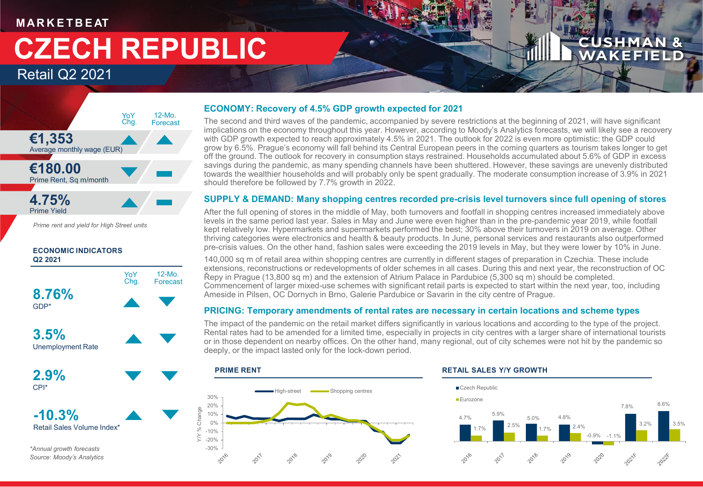### **M AR K E T B E AT**

# **CZECH REPUBLIC**

Retail Q2 2021

#### **€1,353** Average monthly wage (EUR) **€180.00** Prime Rent, Sq m/month **4.75%** Prime Yield 12-Mo. Forecast YoY Chg.

*Prime rent and yield for High Street units*

#### **ECONOMIC INDICATORS Q2 2021**



*\*Annual growth forecasts Source: Moody's Analytics*

#### **ECONOMY: Recovery of 4.5% GDP growth expected for 2021**

The second and third waves of the pandemic, accompanied by severe restrictions at the beginning of 2021, will have significant implications on the economy throughout this year. However, according to Moody's Analytics forecasts, we will likely see a recovery with GDP growth expected to reach approximately 4.5% in 2021. The outlook for 2022 is even more optimistic: the GDP could grow by 6.5%. Prague's economy will fall behind its Central European peers in the coming quarters as tourism takes longer to get off the ground. The outlook for recovery in consumption stays restrained. Households accumulated about 5.6% of GDP in excess savings during the pandemic, as many spending channels have been shuttered. However, these savings are unevenly distributed towards the wealthier households and will probably only be spent gradually. The moderate consumption increase of 3.9% in 2021 should therefore be followed by 7.7% growth in 2022.

#### **SUPPLY & DEMAND: Many shopping centres recorded pre-crisis level turnovers since full opening of stores**

After the full opening of stores in the middle of May, both turnovers and footfall in shopping centres increased immediately above levels in the same period last year. Sales in May and June were even higher than in the pre-pandemic year 2019, while footfall kept relatively low. Hypermarkets and supermarkets performed the best; 30% above their turnovers in 2019 on average. Other thriving categories were electronics and health & beauty products. In June, personal services and restaurants also outperformed pre-crisis values. On the other hand, fashion sales were exceeding the 2019 levels in May, but they were lower by 10% in June.

140,000 sq m of retail area within shopping centres are currently in different stages of preparation in Czechia. These include extensions, reconstructions or redevelopments of older schemes in all cases. During this and next year, the reconstruction of OC Řepy in Prague (13,800 sq m) and the extension of Atrium Palace in Pardubice (5,300 sq m) should be completed. Commencement of larger mixed-use schemes with significant retail parts is expected to start within the next year, too, including Ameside in Pilsen, OC Dornych in Brno, Galerie Pardubice or Savarin in the city centre of Prague.

#### **PRICING: Temporary amendments of rental rates are necessary in certain locations and scheme types**

The impact of the pandemic on the retail market differs significantly in various locations and according to the type of the project. Rental rates had to be amended for a limited time, especially in projects in city centres with a larger share of international tourists or in those dependent on nearby offices. On the other hand, many regional, out of city schemes were not hit by the pandemic so deeply, or the impact lasted only for the lock-down period.





**CUSHMAN & WAKEFIELD**